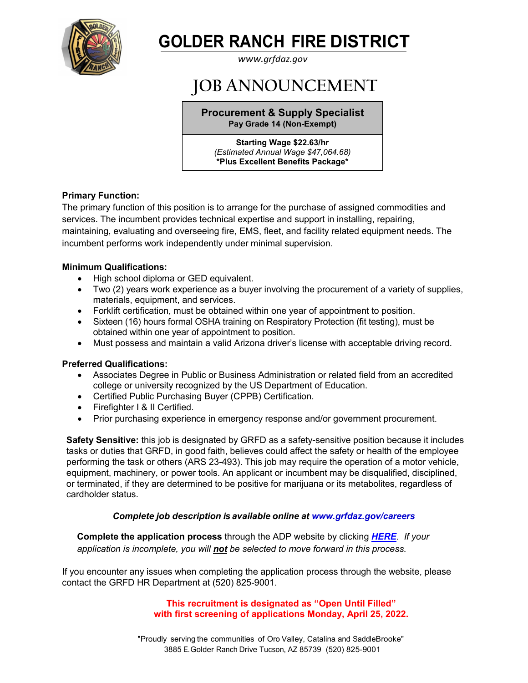

# **GOLDER RANCH FIRE DISTRICT**

*[www.grfdaz.gov](http://www.grfdaz.gov/)*

## **JOB ANNOUNCEMENT**

**Procurement & Supply Specialist Pay Grade 14 (Non-Exempt)**

**Starting Wage \$22.63/hr** *(Estimated Annual Wage \$47,064.68)* **\*Plus Excellent Benefits Package\***

## **Primary Function:**

The primary function of this position is to arrange for the purchase of assigned commodities and services. The incumbent provides technical expertise and support in installing, repairing, maintaining, evaluating and overseeing fire, EMS, fleet, and facility related equipment needs. The incumbent performs work independently under minimal supervision.

## **Minimum Qualifications:**

- High school diploma or GED equivalent.
- Two (2) years work experience as a buyer involving the procurement of a variety of supplies, materials, equipment, and services.
- Forklift certification, must be obtained within one year of appointment to position.
- Sixteen (16) hours formal OSHA training on Respiratory Protection (fit testing), must be obtained within one year of appointment to position.
- Must possess and maintain a valid Arizona driver's license with acceptable driving record.

### **Preferred Qualifications:**

- Associates Degree in Public or Business Administration or related field from an accredited college or university recognized by the US Department of Education.
- Certified Public Purchasing Buyer (CPPB) Certification.
- Firefighter I & II Certified.
- Prior purchasing experience in emergency response and/or government procurement.

**Safety Sensitive:** this job is designated by GRFD as a safety-sensitive position because it includes tasks or duties that GRFD, in good faith, believes could affect the safety or health of the employee performing the task or others (ARS 23-493). This job may require the operation of a motor vehicle, equipment, machinery, or power tools. An applicant or incumbent may be disqualified, disciplined, or terminated, if they are determined to be positive for marijuana or its metabolites, regardless of cardholder status.

### *Complete job description is available online at [www.grfdaz.gov/](http://www.grfdaz.gov/)careers*

 **Complete the application process** through the ADP website by clicking *[HERE](https://workforcenow.adp.com/mascsr/default/mdf/recruitment/recruitment.html?cid=7d83f652-9baa-45cc-b6c9-a08b0f77f4f6&ccId=19000101_000001&jobId=438121&source=CC2&lang=en_US)*. *If your application is incomplete, you will not be selected to move forward in this process.*

If you encounter any issues when completing the application process through the website, please contact the GRFD HR Department at (520) 825-9001.

> **This recruitment is designated as "Open Until Filled" with first screening of applications Monday, April 25, 2022.**